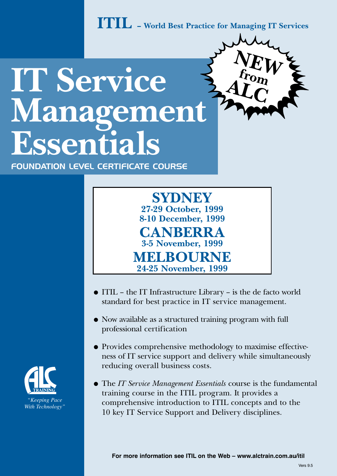**ITIL – World Best Practice for Managing IT Services**

**NE**

**ALC**

 $\frac{\delta E}{\delta k} W$ 

# **IT Service Management Essentials**

FoUndation LeveL CertiFiCate CoUrse



- ITIL the IT Infrastructure Library is the de facto world standard for best practice in IT service management.
- Now available as a structured training program with full professional certification
- Provides comprehensive methodology to maximise effectiveness of IT service support and delivery while simultaneously reducing overall business costs.
- The *IT Service Management Essentials* course is the fundamental training course in the ITIL program. It provides a comprehensive introduction to ITIL concepts and to the 10 key IT Service Support and Delivery disciplines.

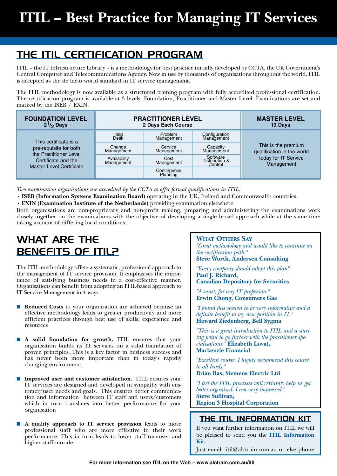### THE ITIL CERTIFICATION PROGRAM

ITIL – the IT Infrastructure Library – is a methodology for best practice initially developed by CCTA, the UK Government's Central Computer and Telecommunications Agency. Now in use by thousands of organisations throughout the world, ITIL is accepted as the de facto world standard in IT service management.

The ITIL methodology is now available as a structured training program with fully accredited professional certification. The certification program is available at 3 levels: Foundation, Practitioner and Master Level. Examinations are set and marked by the ISEB / EXIN.

| <b>FOUNDATION LEVEL</b><br>$2^1/2$ Days                                                                                             | <b>PRACTITIONER LEVEL</b><br>2 Days Each Course |                         |                                       | <b>MASTER LEVEL</b><br>13 Days                                                          |
|-------------------------------------------------------------------------------------------------------------------------------------|-------------------------------------------------|-------------------------|---------------------------------------|-----------------------------------------------------------------------------------------|
| This certificate is a<br>pre-requisite for both<br>the Practitioner Level<br>Certificate and the<br><b>Master Level Certificate</b> | Help<br>Desk                                    | Problem<br>Management   | Configuration<br>Management           | This is the premium<br>qualification in the world<br>today for IT Service<br>Management |
|                                                                                                                                     | Change<br>Management                            | Service<br>Management   | Capacity<br>Management                |                                                                                         |
|                                                                                                                                     | Availability<br>Management                      | Cost<br>Management      | Software<br>Distribution &<br>Control |                                                                                         |
|                                                                                                                                     |                                                 | Contingency<br>Planning |                                       |                                                                                         |

*Two examination organisations are accredited by the CCTA to offer formal qualifications in ITIL:*

• **ISEB (Information Systems Examination Board)** operating in the UK, Ireland and Commonwealth countries.

• **EXIN (Examination Institute of the Netherlands)** providing examination elsewhere

Both organisations are non-proprietary and non-profit making, preparing and administering the examinations work closely together on the examinations with the objective of developing a single broad approach while at the same time taking account of differing local conditions.

### WHAT ARE THE BENEFITS OF ITIL?

The ITIL methodology offers a systematic, professional approach to the management of IT service provision. It emphasises the importance of satisfying business needs in a cost-effective manner. Organisations can benefit from adopting an ITIL-based approach to IT Service Management in 4 ways:

- **Reduced Costs** to your organisation are achieved because an effective methodology leads to greater productivity and more efficient practices through best use of skills, experience and resources
- A solid foundation for growth. ITIL ensures that your organisation builds its IT services on a solid foundation of proven principles. This is a key factor in business success and has never been more important than in today's rapidly changing environment.
- **Improved user and customer satisfaction.** ITIL ensures your IT services are designed and developed in sympathy with customer/user needs and goals. This ensures better communication and information between IT staff and users/customers which in turn translates into better performance for your organisation
- A quality approach to IT service provision leads to more professional staff who are more effective in their work performance. This in turn leads to lower staff turnover and higher staff morale.

#### **What Others Say**

*"Great methodology and would like to continue on the certification path."*  **Steve Worth, Andersen Consulting** 

*"Every company should adopt this plan".* **Paul J. Richard, Canadian Depository for Securities** 

*"A must, for any IT profession."*  **Erwin Chong, Consumers Gas** 

*"I found this session to be very informative and a definite benefit to my new position in IT."* **Howard Ziedenberg, Bell Sygma** 

*"This is a great introduction to ITIL and a starting point to go further with the practitioner specialisations."* **Elizabeth Lovat, Mackenzie Financial** 

*"Excellent course. I highly recommend this course to all levels."* 

**Brian Bas, Siemens Electric Ltd**

*"I feel the ITIL processes will certainly help us get better organised. I am very impressed."*  **Steve Sullivan,** 

**Region 3 Hospital Corporation**

#### THE ITIL Information kit

If you want further information on ITIL we will be pleased to send you the **ITIL Information Kit.**

Just email itil@alctrain.com.au or else phone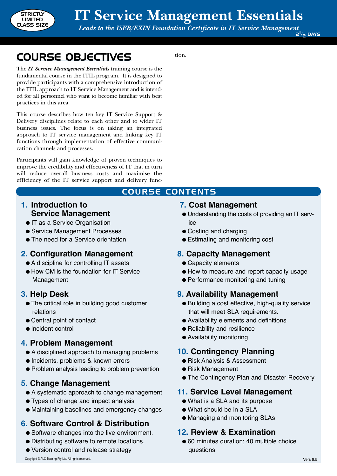

tion.

Course CONTENTS

Course Objectives

The *IT Service Management Essentials* training course is the fundamental course in the ITIL program. It is designed to provide participants with a comprehensive introduction of the ITIL approach to IT Service Management and is intended for all personnel who want to become familiar with best practices in this area.

This course describes how ten key IT Service Support & Delivery disciplines relate to each other and to wider IT business issues. The focus is on taking an integrated approach to IT service management and linking key IT functions through implementation of effective communication channels and processes.

Participants will gain knowledge of proven techniques to improve the credibility and effectiveness of IT that in turn will reduce overall business costs and maximise the efficiency of the IT service support and delivery func-

#### **1. Introduction to Service Management**

- IT as a Service Organisation
- Service Management Processes
- The need for a Service orientation

#### **2. Configuration Management**

- A discipline for controlling IT assets
- How CM is the foundation for IT Service Management

#### **3. Help Desk**

- The critical role in building good customer relations
- Central point of contact
- Incident control

#### **4. Problem Management**

- A disciplined approach to managing problems
- Incidents, problems & known errors
- Problem analysis leading to problem prevention

#### **5. Change Management**

- A systematic approach to change management
- Types of change and impact analysis
- Maintaining baselines and emergency changes

#### **6. Software Control & Distribution**

- Software changes into the live environment.
- Distributing software to remote locations.
- Version control and release strategy

#### **7. Cost Management**

- Understanding the costs of providing an IT service
- Costing and charging
- Estimating and monitoring cost

#### **8. Capacity Management**

- Capacity elements
- How to measure and report capacity usage
- Performance monitoring and tuning

#### **9. Availability Management**

- Building a cost effective, high-quality service that will meet SLA requirements.
- Availability elements and definitions
- Reliability and resilience
- Availability monitoring

#### **10. Contingency Planning**

- Risk Analysis & Assessment
- Risk Management
- The Contingency Plan and Disaster Recovery

#### **11. Service Level Management**

- What is a SLA and its purpose
- What should be in a SLA
- Managing and monitoring SLAs

#### **12. Review & Examination**

● 60 minutes duration; 40 multiple choice questions